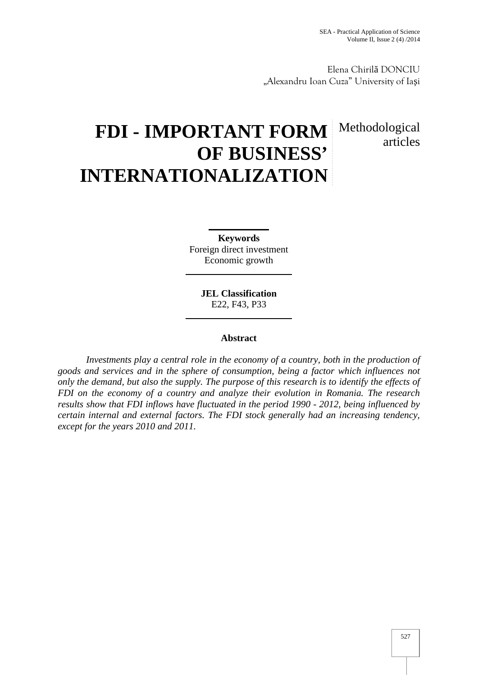articles

Elena Chiril DONCIU "Alexandru Ioan Cuza" University of Ia i

# **FDI - IMPORTANT FORM OF BUSINESS' INTERNATIONALIZATION** Methodological

**Keywords** Foreign direct investment Economic growth

> **JEL Classification** E22, F43, P33

## **Abstract**

*Investments play a central role in the economy of a country, both in the production of goods and services and in the sphere of consumption, being a factor which influences not only the demand, but also the supply. The purpose of this research is to identify the effects of FDI on the economy of a country and analyze their evolution in Romania. The research results show that FDI inflows have fluctuated in the period 1990 - 2012, being influenced by certain internal and external factors. The FDI stock generally had an increasing tendency, except for the years 2010 and 2011.*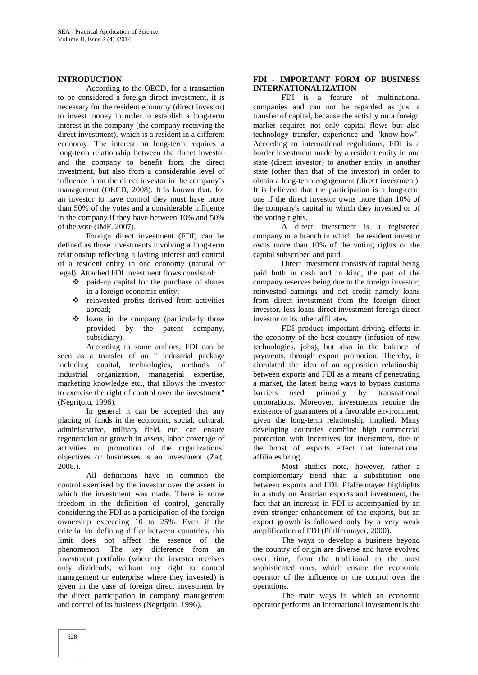#### **INTRODUCTION**

According to the OECD, for a transaction to be considered a foreign direct investment, it is necessary for the resident economy (direct investor) to invest money in order to establish a long-term interest in the company (the company receiving the direct investment), which is a resident in a different economy. The interest on long-term requires a long-term relationship between the direct investor and the company to benefit from the direct investment, but also from a considerable level of influence from the direct investor in the company's management (OECD, 2008). It is known that, for an investor to have control they must have more than 50% of the votes and a considerable influence in the company if they have between 10% and 50% of the vote (IMF, 2007).

Foreign direct investment (FDI) can be defined as those investments involving a long-term relationship reflecting a lasting interest and control of a resident entity in one economy (natural or legal). Attached FDI investment flows consist of:

- paid-up capital for the purchase of shares in a foreign economic entity;
- reinvested profits derived from activities abroad;
- loans in the company (particularly those provided by the parent company, subsidiary).

According to some authors, FDI can be seen as a transfer of an " industrial package including capital, technologies, methods of industrial organization, managerial expertise, marketing knowledge etc., that allows the investor to exercise the right of control over the investment" (Negri oiu, 1996).

In general it can be accepted that any placing of funds in the economic, social, cultural, administrative, military field, etc. can ensure regeneration or growth in assets, labor coverage of activities or promotion of the organizations' objectives or businesses is an investment (Zaiț, 2008.).

All definitions have in common the control exercised by the investor over the assets in which the investment was made. There is some freedom in the definition of control, generally considering the FDI as a participation of the foreign ownership exceeding 10 to 25%. Even if the criteria for defining differ between countries, this limit does not affect the essence of the phenomenon. The key difference from an investment portfolio (where the investor receives only dividends, without any right to control management or enterprise where they invested) is given in the case of foreign direct investment by the direct participation in company management and control of its business (Negri oiu, 1996).

#### **FDI - IMPORTANT FORM OF BUSINESS INTERNATIONALIZATION**

FDI is a feature of multinational companies and can not be regarded as just a transfer of capital, because the activity on a foreign market requires not only capital flows but also technology transfer, experience and "know-how". According to international regulations, FDI is a border investment made by a resident entity in one state (direct investor) to another entity in another state (other than that of the investor) in order to obtain a long-term engagement (direct investment). It is believed that the participation is a long-term one if the direct investor owns more than 10% of the company's capital in which they invested or of the voting rights.

A direct investment is a registered company or a branch in which the resident investor owns more than 10% of the voting rights or the capital subscribed and paid.

Direct investment consists of capital being paid both in cash and in kind, the part of the company reserves being due to the foreign investor; reinvested earnings and net credit namely loans from direct investment from the foreign direct investor, less loans direct investment foreign direct investor or its other affiliates.

FDI produce important driving effects in the economy of the host country (infusion of new technologies, jobs), but also in the balance of payments, through export promotion. Thereby, it circulated the idea of an opposition relationship between exports and FDI as a means of penetrating a market, the latest being ways to bypass customs barriers used primarily by transnational corporations. Moreover, investments require the existence of guarantees of a favorable environment, given the long-term relationship implied. Many developing countries combine high commercial protection with incentives for investment, due to the boost of exports effect that international affiliates bring.

Most studies note, however, rather a complementary trend than a substitution one between exports and FDI. Pfaffermayer highlights in a study on Austrian exports and investment, the fact that an increase in FDI is accompanied by an even stronger enhancement of the exports, but an export growth is followed only by a very weak amplification of FDI (Pfaffermayer, 2000).

The ways to develop a business beyond the country of origin are diverse and have evolved over time, from the traditional to the most sophisticated ones, which ensure the economic operator of the influence or the control over the operations.

The main ways in which an economic operator performs an international investment is the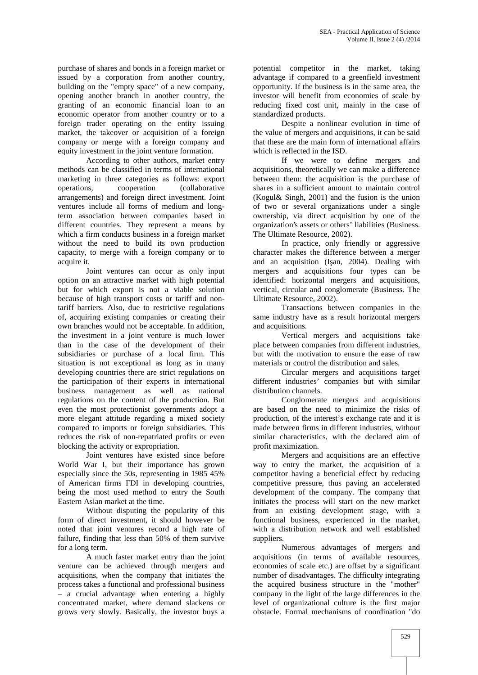purchase of shares and bonds in a foreign market or issued by a corporation from another country, building on the "empty space" of a new company, opening another branch in another country, the granting of an economic financial loan to an economic operator from another country or to a foreign trader operating on the entity issuing market, the takeover or acquisition of a foreign company or merge with a foreign company and equity investment in the joint venture formation.

According to other authors, market entry methods can be classified in terms of international marketing in three categories as follows: export operations, cooperation (collaborative arrangements) and foreign direct investment. Joint ventures include all forms of medium and longterm association between companies based in different countries. They represent a means by which a firm conducts business in a foreign market without the need to build its own production capacity, to merge with a foreign company or to

acquire it.<br>Joint ventures can occur as only input option on an attractive market with high potential but for which export is not a viable solution because of high transport costs or tariff and nontariff barriers. Also, due to restrictive regulations of, acquiring existing companies or creating their own branches would not be acceptable. In addition, the investment in a joint venture is much lower than in the case of the development of their subsidiaries or purchase of a local firm. This situation is not exceptional as long as in many developing countries there are strict regulations on the participation of their experts in international business management as well as national regulations on the content of the production. But even the most protectionist governments adopt a more elegant attitude regarding a mixed society compared to imports or foreign subsidiaries. This reduces the risk of non-repatriated profits or even blocking the activity or expropriation.

Joint ventures have existed since before World War I, but their importance has grown especially since the 50s, representing in 1985 45% of American firms FDI in developing countries, being the most used method to entry the South Eastern Asian market at the time.

Without disputing the popularity of this form of direct investment, it should however be noted that joint ventures record a high rate of failure, finding that less than 50% of them survive for a long term.

A much faster market entry than the joint venture can be achieved through mergers and acquisitions, when the company that initiates the process takes a functional and professional business – a crucial advantage when entering a highly concentrated market, where demand slackens or grows very slowly. Basically, the investor buys a

potential competitor in the market, taking advantage if compared to a greenfield investment opportunity. If the business is in the same area, the investor will benefit from economies of scale by reducing fixed cost unit, mainly in the case of standardized products.

Despite a nonlinear evolution in time of the value of mergers and acquisitions, it can be said that these are the main form of international affairs which is reflected in the ISD.

If we were to define mergers and acquisitions, theoretically we can make a difference between them: the acquisition is the purchase of shares in a sufficient amount to maintain control (Kogul& Singh, 2001) and the fusion is the union of two or several organizations under a single ownership, via direct acquisition by one of the organization's assets or others' liabilities (Business. The Ultimate Resource, 2002).

In practice, only friendly or aggressive character makes the difference between a merger and an acquisition (I an, 2004). Dealing with mergers and acquisitions four types can be identified: horizontal mergers and acquisitions, vertical, circular and conglomerate (Business. The Ultimate Resource, 2002).

Transactions between companies in the same industry have as a result horizontal mergers and acquisitions.

Vertical mergers and acquisitions take place between companies from different industries, but with the motivation to ensure the ease of raw materials or control the distribution and sales.

Circular mergers and acquisitions target different industries' companies but with similar distribution channels.

Conglomerate mergers and acquisitions are based on the need to minimize the risks of production, of the interest's exchange rate and it is made between firms in different industries, without similar characteristics, with the declared aim of profit maximization.

Mergers and acquisitions are an effective way to entry the market, the acquisition of a competitor having a beneficial effect by reducing competitive pressure, thus paving an accelerated development of the company. The company that initiates the process will start on the new market from an existing development stage, with a functional business, experienced in the market, with a distribution network and well established

suppliers.<br>Numerous advantages of mergers and acquisitions (in terms of available resources, economies of scale etc.) are offset by a significant number of disadvantages. The difficulty integrating the acquired business structure in the "mother" company in the light of the large differences in the level of organizational culture is the first major obstacle. Formal mechanisms of coordination "do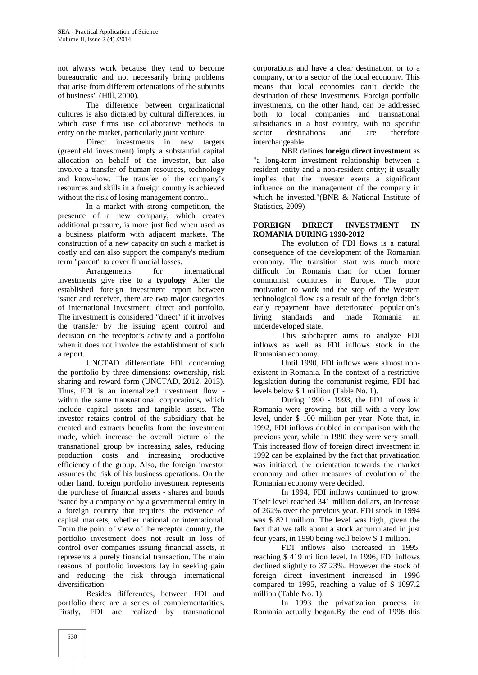not always work because they tend to become bureaucratic and not necessarily bring problems that arise from different orientations of the subunits of business" (Hill, 2000).

The difference between organizational cultures is also dictated by cultural differences, in which case firms use collaborative methods to entry on the market, particularly joint venture.

Direct investments in new targets (greenfield investment) imply a substantial capital allocation on behalf of the investor, but also involve a transfer of human resources, technology and know-how. The transfer of the company's resources and skills in a foreign country is achieved without the risk of losing management control.

In a market with strong competition, the presence of a new company, which creates additional pressure, is more justified when used as a business platform with adjacent markets. The construction of a new capacity on such a market is costly and can also support the company's medium term "parent" to cover financial losses.

Arrangements for international investments give rise to a **typology**. After the established foreign investment report between issuer and receiver, there are two major categories of international investment: direct and portfolio. The investment is considered "direct" if it involves the transfer by the issuing agent control and decision on the receptor's activity and a portfolio when it does not involve the establishment of such a report.

UNCTAD differentiate FDI concerning the portfolio by three dimensions: ownership, risk sharing and reward form (UNCTAD, 2012, 2013). Thus, FDI is an internalized investment flow within the same transnational corporations, which include capital assets and tangible assets. The investor retains control of the subsidiary that he created and extracts benefits from the investment made, which increase the overall picture of the transnational group by increasing sales, reducing production costs and increasing productive efficiency of the group. Also, the foreign investor assumes the risk of his business operations. On the other hand, foreign portfolio investment represents the purchase of financial assets - shares and bonds issued by a company or by a governmental entity in a foreign country that requires the existence of capital markets, whether national or international. From the point of view of the receptor country, the portfolio investment does not result in loss of control over companies issuing financial assets, it represents a purely financial transaction. The main reasons of portfolio investors lay in seeking gain and reducing the risk through international diversification.

Besides differences, between FDI and portfolio there are a series of complementarities. Firstly, FDI are realized by transnational

corporations and have a clear destination, or to a company, or to a sector of the local economy. This means that local economies can't decide the destination of these investments. Foreign portfolio investments, on the other hand, can be addressed both to local companies and transnational subsidiaries in a host country, with no specific sector destinations and are therefore interchangeable.

NBR defines **foreign direct investment** as "a long-term investment relationship between a resident entity and a non-resident entity; it usually implies that the investor exerts a significant influence on the management of the company in which he invested."(BNR & National Institute of Statistics, 2009)

### **FOREIGN DIRECT INVESTMENT IN ROMANIA DURING 1990-2012**

The evolution of FDI flows is a natural consequence of the development of the Romanian economy. The transition start was much more difficult for Romania than for other former communist countries in Europe. The poor motivation to work and the stop of the Western technological flow as a result of the foreign debt's early repayment have deteriorated population's living standards and made Romania an underdeveloped state.

This subchapter aims to analyze FDI inflows as well as FDI inflows stock in the Romanian economy.

Until 1990, FDI inflows were almost non existent in Romania. In the context of a restrictive legislation during the communist regime, FDI had levels below \$ 1 million (Table No. 1).

During 1990 - 1993, the FDI inflows in Romania were growing, but still with a very low level, under \$ 100 million per year. Note that, in 1992, FDI inflows doubled in comparison with the previous year, while in 1990 they were very small. This increased flow of foreign direct investment in 1992 can be explained by the fact that privatization was initiated, the orientation towards the market economy and other measures of evolution of the Romanian economy were decided.

In 1994, FDI inflows continued to grow. Their level reached 341 million dollars, an increase of 262% over the previous year. FDI stock in 1994 was \$ 821 million. The level was high, given the fact that we talk about a stock accumulated in just four years, in 1990 being well below \$ 1 million.

FDI inflows also increased in 1995, reaching \$ 419 million level. In 1996, FDI inflows declined slightly to 37.23%. However the stock of foreign direct investment increased in 1996 compared to 1995, reaching a value of \$ 1097.2 million (Table No. 1).

In 1993 the privatization process in Romania actually began.By the end of 1996 this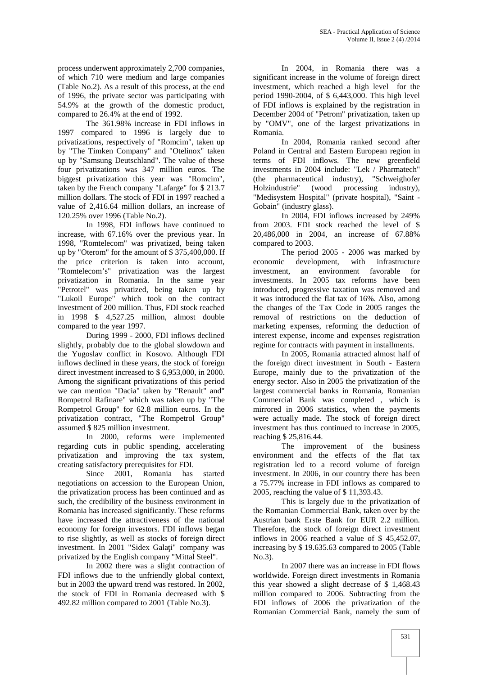process underwent approximately 2,700 companies, of which 710 were medium and large companies (Table No.2). As a result of this process, at the end of 1996, the private sector was participating with 54.9% at the growth of the domestic product, compared to 26.4% at the end of 1992.

The 361.98% increase in FDI inflows in 1997 compared to 1996 is largely due to privatizations, respectively of"Romcim", taken up by "The Timken Company" and "Otelinox" taken up by "Samsung Deutschland". The value of these four privatizations was 347 million euros. The biggest privatization this year was "Romcim", taken by the French company "Lafarge" for \$ 213.7 million dollars. The stock of FDI in 1997 reached a value of 2,416.64 million dollars, an increase of 120.25% over 1996 (Table No.2).

In 1998, FDI inflows have continued to increase, with 67.16% over the previous year. In 1998, "Romtelecom" was privatized, being taken up by "Oterom" for the amount of \$ 375,400,000. If the price criterion is taken into account, "Romtelecom's" privatization was the largest privatization in Romania. In the same year "Petrotel" was privatized, being taken up by "Lukoil Europe" which took on the contract investment of 200 million. Thus, FDI stock reached in 1998 \$ 4,527.25 million, almost double compared to the year 1997.

During 1999 - 2000, FDI inflows declined slightly, probably due to the global slowdown and the Yugoslav conflict in Kosovo. Although FDI inflows declined in these years, the stock of foreign direct investment increased to \$ 6,953,000, in 2000. Among the significant privatizations of this period we can mention "Dacia" taken by "Renault" and" Rompetrol Rafinare" which was taken up by "The Rompetrol Group" for 62.8 million euros. In the privatization contract, "The Rompetrol Group" assumed \$ 825 million investment.

In 2000, reforms were implemented regarding cuts in public spending, accelerating privatization and improving the tax system, creating satisfactory prerequisites for FDI.

Since 2001, Romania has started negotiations on accession to the European Union, the privatization process has been continued and as such, the credibility of the business environment in Romania has increased significantly. These reforms have increased the attractiveness of the national economy for foreign investors. FDI inflows began to rise slightly, as well as stocks of foreign direct investment. In 2001 "Sidex Gala i" company was privatized by the English company "Mittal Steel".

In 2002 there was a slight contraction of FDI inflows due to the unfriendly global context, but in 2003 the upward trend was restored. In 2002, the stock of FDI in Romania decreased with \$ 492.82 million compared to 2001 (Table No.3).

In 2004, in Romania there was a significant increase in the volume of foreign direct investment, which reached a high level for the period 1990-2004, of \$ 6,443,000. This high level of FDI inflows is explained by the registration in December 2004 of "Petrom" privatization, taken up by "OMV", one of the largest privatizations in

In 2004, Romania ranked second after Poland in Central and Eastern European region in terms of FDI inflows. The new greenfield investments in 2004 include: "Lek / Pharmatech" (the pharmaceutical industry), "Schweighofer Holzindustrie" (wood processing industry), "Medisystem Hospital" (private hospital), "Saint - Gobain" (industry glass).

In 2004, FDI inflows increased by 249% from 2003. FDI stock reached the level of \$ 20,486,000 in 2004, an increase of 67.88% compared to 2003.

The period 2005 - 2006 was marked by economic development, with infrastructure investment, an environment favorable for investments. In 2005 tax reforms have been introduced, progressive taxation was removed and it was introduced the flat tax of 16%. Also, among the changes of the Tax Code in 2005 ranges the removal of restrictions on the deduction of marketing expenses, reforming the deduction of interest expense, income and expenses registration regime for contracts with payment in installments.

In 2005, Romania attracted almost half of the foreign direct investment in South - Eastern Europe, mainly due to the privatization of the energy sector. Also in 2005 the privatization of the largest commercial banks in Romania, Romanian Commercial Bank was completed , which is mirrored in 2006 statistics, when the payments were actually made. The stock of foreign direct investment has thus continued to increase in 2005, reaching \$ 25,816.44.

The improvement of the business environment and the effects of the flat tax registration led to a record volume of foreign investment. In 2006, in our country there has been a 75.77% increase in FDI inflows as compared to 2005, reaching the value of \$ 11,393.43.

This is largely due to the privatization of the Romanian Commercial Bank, taken over by the Austrian bank Erste Bank for EUR 2.2 million. Therefore, the stock of foreign direct investment inflows in 2006 reached a value of \$ 45,452.07, increasing by \$ 19.635.63 compared to 2005 (Table No.3).

In 2007 there was an increase in FDI flows worldwide. Foreign direct investments in Romania this year showed a slight decrease of \$ 1,468.43 million compared to 2006. Subtracting from the FDI inflows of 2006 the privatization of the Romanian Commercial Bank, namely the sum of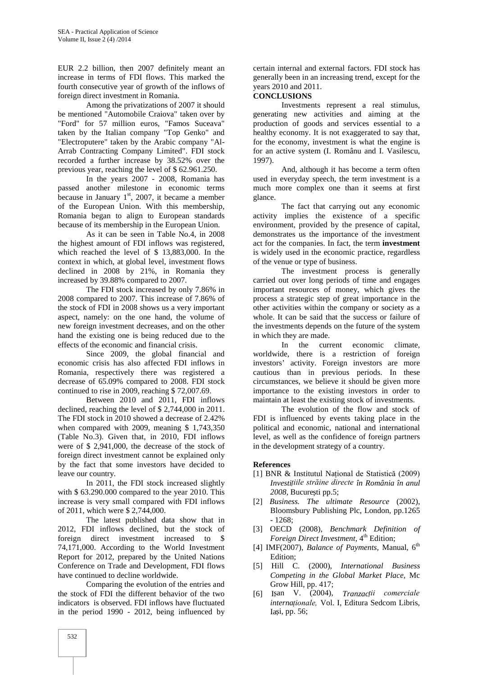EUR 2.2 billion, then 2007 definitely meant an increase in terms of FDI flows. This marked the fourth consecutive year of growth of the inflows of foreign direct investment in Romania.

Among the privatizations of 2007 it should be mentioned "Automobile Craiova" taken over by "Ford" for 57 million euros, "Famos Suceava" taken by the Italian company "Top Genko" and "Electroputere" taken by the Arabic company "Al- Arrab Contracting Company Limited". FDI stock recorded a further increase by 38.52% over the previous year, reaching the level of \$ 62.961.250.

In the years 2007 - 2008, Romania has passed another milestone in economic terms because in January  $1<sup>st</sup>$ , 2007, it became a member of the European Union. With this membership, Romania began to align to European standards because of its membership in the European Union.

As it can be seen in Table No.4, in 2008 the highest amount of FDI inflows was registered, which reached the level of \$ 13,883,000. In the context in which, at global level, investment flows declined in 2008 by 21%, in Romania they increased by 39.88% compared to 2007.

The FDI stock increased by only 7.86% in 2008 compared to 2007. This increase of 7.86% of the stock of FDI in 2008 shows us a very important aspect, namely: on the one hand, the volume of new foreign investment decreases, and on the other hand the existing one is being reduced due to the effects of the economic and financial crisis.

Since 2009, the global financial and economic crisis has also affected FDI inflows in Romania, respectively there was registered a decrease of 65.09% compared to 2008. FDI stock continued to rise in 2009, reaching \$ 72,007.69.

Between 2010 and 2011, FDI inflows declined, reaching the level of \$ 2,744,000 in 2011. The FDI stock in 2010 showed a decrease of 2.42% when compared with 2009, meaning \$ 1,743,350 (Table No.3). Given that, in 2010, FDI inflows were of \$ 2,941,000, the decrease of the stock of foreign direct investment cannot be explained only by the fact that some investors have decided to leave our country.

In 2011, the FDI stock increased slightly with \$ 63.290.000 compared to the year 2010. This increase is very small compared with FDI inflows of 2011, which were \$ 2,744,000.

The latest published data show that in 2012, FDI inflows declined, but the stock of foreign direct investment increased to \$ 74,171,000. According to the World Investment Report for 2012, prepared by the United Nations Conference on Trade and Development, FDI flows have continued to decline worldwide.

Comparing the evolution of the entries and the stock of FDI the different behavior of the two indicators is observed. FDI inflows have fluctuated in the period 1990 - 2012, being influenced by

certain internal and external factors. FDI stock has generally been in an increasing trend, except for the years 2010 and 2011.

#### **CONCLUSIONS**

Investments represent a real stimulus, generating new activities and aiming at the production of goods and services essential to a healthy economy. It is not exaggerated to say that, for the economy, investment is what the engine is for an active system (I. Românu and I. Vasilescu, 1997).

And, although it has become a term often used in everyday speech, the term investment is a much more complex one than it seems at first glance.

The fact that carrying out any economic activity implies the existence of a specific environment, provided by the presence of capital, demonstrates us the importance of the investment act for the companies. In fact, the term **investment** is widely used in the economic practice, regardless of the venue or type of business.

The investment process is generally carried out over long periods of time and engages important resources of money, which gives the process a strategic step of great importance in the other activities within the company or society as a whole. It can be said that the success or failure of the investments depends on the future of the system in which they are made.

In the current economic climate, worldwide, there is a restriction of foreign investors' activity. Foreign investors are more cautious than in previous periods. In these circumstances, we believe it should be given more importance to the existing investors in order to maintain at least the existing stock of investments.

The evolution of the flow and stock of FDI is influenced by events taking place in the political and economic, national and international level, as well as the confidence of foreign partners in the development strategy of a country.

#### **References**

- [1] BNR & Institutul Național de Statistică (2009) *Investițiile străine directe în România în anul 2008*, Bucure ti pp.5;
- [2] *Business. The ultimate Resource* (2002), Bloomsbury Publishing Plc, London, pp.1265 - 1268;
- [3] OECD (2008), *Benchmark Definition of Foreign Direct Investment*,  $4<sup>th</sup>$  Edition;
- [4] IMF(2007), *Balance of Payments*, Manual, 6<sup>th</sup> Edition;
- [5] Hill C. (2000), *International Business Competing in the Global Market Place,* Mc Grow Hill, pp. 417;
- [6] Ișan V. (2004), *Tranzacții comerciale internaționale,* Vol. I, Editura Sedcom Libris, Ia i, pp.  $56$ ;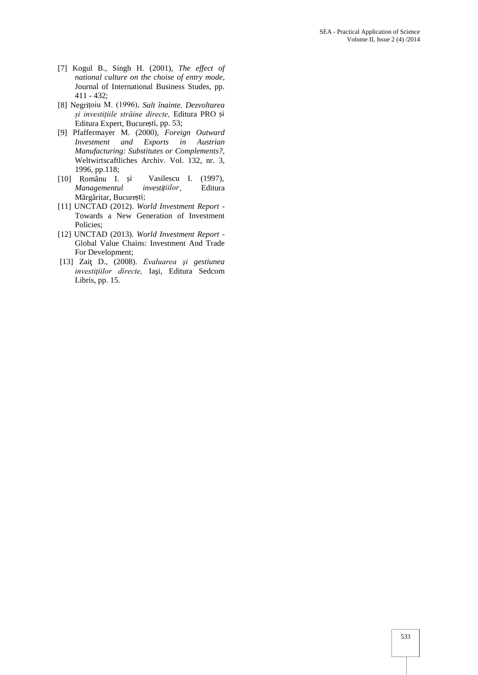- [7] Kogul B., Singh H. (2001), *The effect of national culture on the choise of entry mode,* Journal of International Business Studes, pp. 411 - 432;
- [8] Negrițoiu M. (1996), *Salt înainte. Dezvoltarea și investițiile străine directe,* Editura PRO și Editura Expert, Bucure ti, pp. 53;
- [9] Pfaffermayer M. (2000), *Foreign Outward Investment and Exports in Austrian Manufacturing: Substitutes or Complements?,* Weltwirtscaftliches Archiv. Vol. 132, nr. 3,
- 1996, pp.118;<br>[10] Românu I. i Vasilescu I. (1997), *Managementul investițiilor*, Editura M rg ritar, Bucure ti;
- [11] UNCTAD (2012). *World Investment Report -* Towards a New Generation of Investment Policies;
- [12] UNCTAD (2013). *World Investment Report* Global Value Chains: Investment And Trade For Development;
- [13] Zaiţ D., (2008). *Evaluarea şi gestiunea investițiilor directe*, Ia i, Editura Sedcom Libris, pp. 15.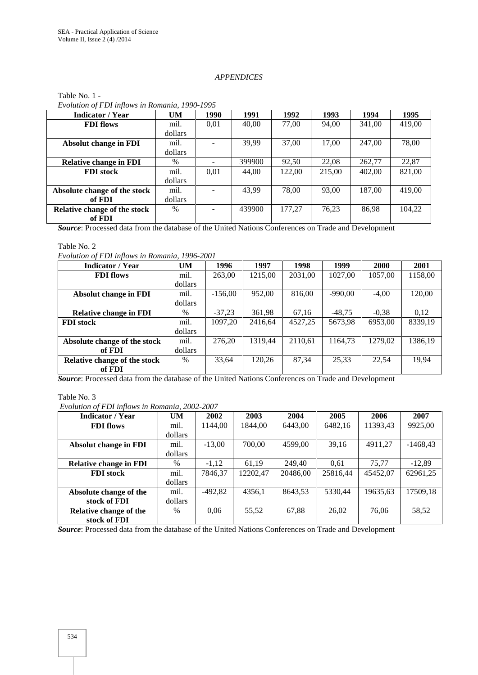# *APPENDICES*

| <b>Indicator</b> / Year       | <b>UM</b> | 1990 | 1991   | 1992   | 1993   | 1994   | 1995   |
|-------------------------------|-----------|------|--------|--------|--------|--------|--------|
| <b>FDI</b> flows              | mil.      | 0.01 | 40,00  | 77,00  | 94.00  | 341,00 | 419,00 |
|                               | dollars   |      |        |        |        |        |        |
| <b>Absolut change in FDI</b>  | mil.      |      | 39,99  | 37,00  | 17,00  | 247,00 | 78,00  |
|                               | dollars   |      |        |        |        |        |        |
| <b>Relative change in FDI</b> | $\%$      |      | 399900 | 92,50  | 22.08  | 262,77 | 22,87  |
| <b>FDI</b> stock              | mil.      | 0.01 | 44,00  | 122,00 | 215,00 | 402,00 | 821,00 |
|                               | dollars   |      |        |        |        |        |        |
| Absolute change of the stock  | mil.      |      | 43,99  | 78.00  | 93.00  | 187,00 | 419.00 |
| of FDI                        | dollars   |      |        |        |        |        |        |
| Relative change of the stock  | $\%$      |      | 439900 | 177.27 | 76.23  | 86,98  | 104,22 |
| of FDI                        |           |      |        |        |        |        |        |

#### Table No. 1 - *Evolution of FDI inflows in Romania, 1990-1995*

*Source*: Processed data from the database of the United Nations Conferences on Trade and Development

#### Table No. 2

*Evolution of FDI inflows in Romania, 1996-2001*

| <b>Indicator / Year</b>       | <b>UM</b> | 1996      | 1997    | 1998    | 1999      | <b>2000</b> | 2001    |
|-------------------------------|-----------|-----------|---------|---------|-----------|-------------|---------|
| <b>FDI</b> flows              | mil.      | 263,00    | 1215,00 | 2031,00 | 1027,00   | 1057,00     | 1158,00 |
|                               | dollars   |           |         |         |           |             |         |
| <b>Absolut change in FDI</b>  | mil.      | $-156.00$ | 952.00  | 816.00  | $-990.00$ | $-4,00$     | 120,00  |
|                               | dollars   |           |         |         |           |             |         |
| <b>Relative change in FDI</b> | $\%$      | $-37.23$  | 361,98  | 67,16   | $-48.75$  | $-0.38$     | 0.12    |
| <b>FDI</b> stock              | mil.      | 1097.20   | 2416.64 | 4527,25 | 5673,98   | 6953,00     | 8339,19 |
|                               | dollars   |           |         |         |           |             |         |
| Absolute change of the stock  | mil.      | 276.20    | 1319.44 | 2110.61 | 1164.73   | 1279.02     | 1386,19 |
| of FDI                        | dollars   |           |         |         |           |             |         |
| Relative change of the stock  | $\%$      | 33,64     | 120,26  | 87,34   | 25,33     | 22,54       | 19,94   |
| of FDI                        |           |           |         |         |           |             |         |

*Source*: Processed data from the database of the United Nations Conferences on Trade and Development

#### Table No. 3

*Evolution of FDI inflows in Romania, 2002-2007*

| <b>Indicator / Year</b>       | <b>UM</b> | 2002      | 2003     | 2004     | 2005     | 2006     | 2007       |
|-------------------------------|-----------|-----------|----------|----------|----------|----------|------------|
| <b>FDI</b> flows              | mil.      | 1144.00   | 1844.00  | 6443.00  | 6482,16  | 11393.43 | 9925.00    |
|                               | dollars   |           |          |          |          |          |            |
| <b>Absolut change in FDI</b>  | mil.      | $-13.00$  | 700.00   | 4599.00  | 39,16    | 4911.27  | $-1468.43$ |
|                               | dollars   |           |          |          |          |          |            |
| <b>Relative change in FDI</b> | $\%$      | $-1.12$   | 61.19    | 249.40   | 0.61     | 75.77    | $-12,89$   |
| <b>FDI</b> stock              | mil.      | 7846,37   | 12202.47 | 20486,00 | 25816,44 | 45452.07 | 62961,25   |
|                               | dollars   |           |          |          |          |          |            |
| Absolute change of the        | mil.      | $-492.82$ | 4356,1   | 8643.53  | 5330.44  | 19635.63 | 17509,18   |
| stock of FDI                  | dollars   |           |          |          |          |          |            |
| Relative change of the        | $\%$      | 0.06      | 55,52    | 67,88    | 26,02    | 76.06    | 58,52      |
| stock of FDI                  |           |           |          |          |          |          |            |

*Source*: Processed data from the database of the United Nations Conferences on Trade and Development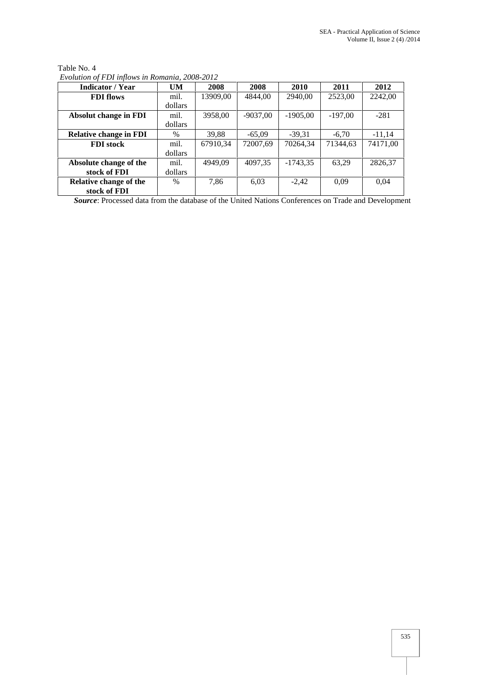| <b>Indicator / Year</b>       | <b>UM</b> | 2008     | 2008       | 2010       | 2011      | 2012     |
|-------------------------------|-----------|----------|------------|------------|-----------|----------|
| <b>FDI</b> flows              | mil.      | 13909,00 | 4844,00    | 2940,00    | 2523,00   | 2242,00  |
|                               | dollars   |          |            |            |           |          |
| <b>Absolut change in FDI</b>  | mil.      | 3958,00  | $-9037,00$ | $-1905,00$ | $-197.00$ | $-281$   |
|                               | dollars   |          |            |            |           |          |
| <b>Relative change in FDI</b> | $\%$      | 39.88    | $-65.09$   | $-39,31$   | $-6,70$   | $-11.14$ |
| <b>FDI</b> stock              | mil.      | 67910.34 | 72007.69   | 70264.34   | 71344.63  | 74171.00 |
|                               | dollars   |          |            |            |           |          |
| Absolute change of the        | mil.      | 4949.09  | 4097,35    | $-1743.35$ | 63,29     | 2826,37  |
| stock of FDI                  | dollars   |          |            |            |           |          |
| Relative change of the        | $\%$      | 7,86     | 6,03       | $-2.42$    | 0.09      | 0.04     |
| stock of FDI                  |           |          |            |            |           |          |

Table No. 4 *Evolution of FDI inflows in Romania, 2008-2012*

*Source*: Processed data from the database of the United Nations Conferences on Trade and Development